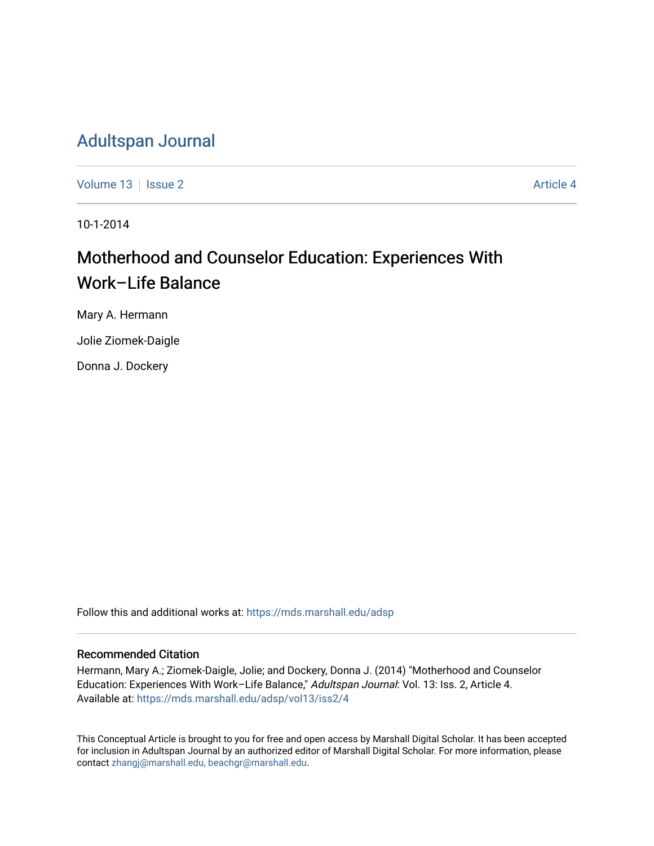# [Adultspan Journal](https://mds.marshall.edu/adsp)

[Volume 13](https://mds.marshall.edu/adsp/vol13) Setus 2 [Article 4](https://mds.marshall.edu/adsp/vol13/iss2/4) Article 4 Article 4 Article 4

10-1-2014

# Motherhood and Counselor Education: Experiences With Work–Life Balance

Mary A. Hermann Jolie Ziomek-Daigle Donna J. Dockery

Follow this and additional works at: [https://mds.marshall.edu/adsp](https://mds.marshall.edu/adsp?utm_source=mds.marshall.edu%2Fadsp%2Fvol13%2Fiss2%2F4&utm_medium=PDF&utm_campaign=PDFCoverPages) 

## Recommended Citation

Hermann, Mary A.; Ziomek-Daigle, Jolie; and Dockery, Donna J. (2014) "Motherhood and Counselor Education: Experiences With Work-Life Balance," Adultspan Journal: Vol. 13: Iss. 2, Article 4. Available at: [https://mds.marshall.edu/adsp/vol13/iss2/4](https://mds.marshall.edu/adsp/vol13/iss2/4?utm_source=mds.marshall.edu%2Fadsp%2Fvol13%2Fiss2%2F4&utm_medium=PDF&utm_campaign=PDFCoverPages) 

This Conceptual Article is brought to you for free and open access by Marshall Digital Scholar. It has been accepted for inclusion in Adultspan Journal by an authorized editor of Marshall Digital Scholar. For more information, please contact [zhangj@marshall.edu, beachgr@marshall.edu](mailto:zhangj@marshall.edu,%20beachgr@marshall.edu).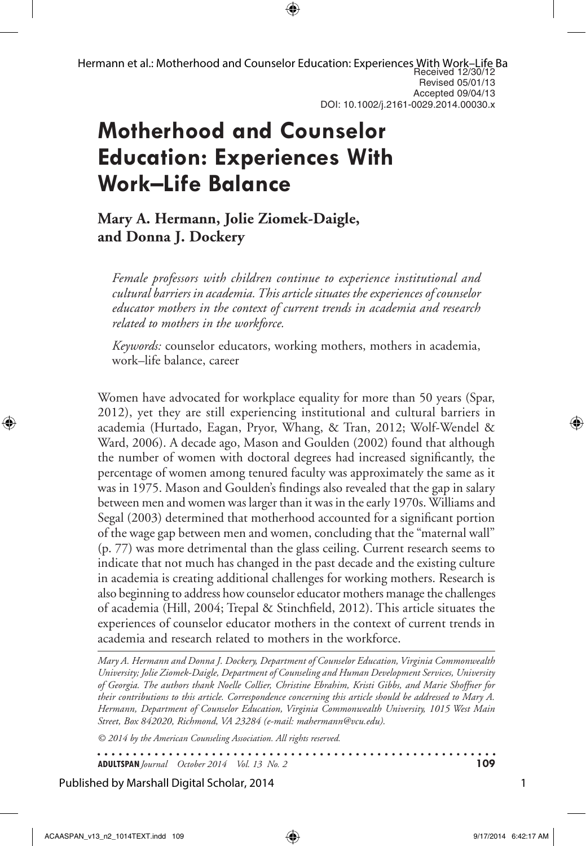# **Motherhood and Counselor Education: Experiences With Work–Life Balance**

# **Mary A. Hermann, Jolie Ziomek-Daigle, and Donna J. Dockery**

*Female professors with children continue to experience institutional and cultural barriers in academia. This article situates the experiences of counselor educator mothers in the context of current trends in academia and research related to mothers in the workforce.* 

*Keywords:* counselor educators, working mothers, mothers in academia, work–life balance, career

Women have advocated for workplace equality for more than 50 years (Spar, 2012), yet they are still experiencing institutional and cultural barriers in academia (Hurtado, Eagan, Pryor, Whang, & Tran, 2012; Wolf-Wendel & Ward, 2006). A decade ago, Mason and Goulden (2002) found that although the number of women with doctoral degrees had increased significantly, the percentage of women among tenured faculty was approximately the same as it was in 1975. Mason and Goulden's findings also revealed that the gap in salary between men and women was larger than it was in the early 1970s. Williams and Segal (2003) determined that motherhood accounted for a significant portion of the wage gap between men and women, concluding that the "maternal wall" (p. 77) was more detrimental than the glass ceiling. Current research seems to indicate that not much has changed in the past decade and the existing culture in academia is creating additional challenges for working mothers. Research is also beginning to address how counselor educator mothers manage the challenges of academia (Hill, 2004; Trepal & Stinchfield, 2012). This article situates the experiences of counselor educator mothers in the context of current trends in academia and research related to mothers in the workforce.

*Mary A. Hermann and Donna J. Dockery, Department of Counselor Education, Virginia Commonwealth University; Jolie Ziomek-Daigle, Department of Counseling and Human Development Services, University of Georgia. The authors thank Noelle Collier, Christine Ebrahim, Kristi Gibbs, and Marie Shoffner for their contributions to this article. Correspondence concerning this article should be addressed to Mary A. Hermann, Department of Counselor Education, Virginia Commonwealth University, 1015 West Main Street, Box 842020, Richmond, VA 23284 (e-mail: mahermann@vcu.edu).*

*© 2014 by the American Counseling Association. All rights reserved.*

**ADULTSPAN***Journal October 2014 Vol. 13 No. 2* **109**

Published by Marshall Digital Scholar, 2014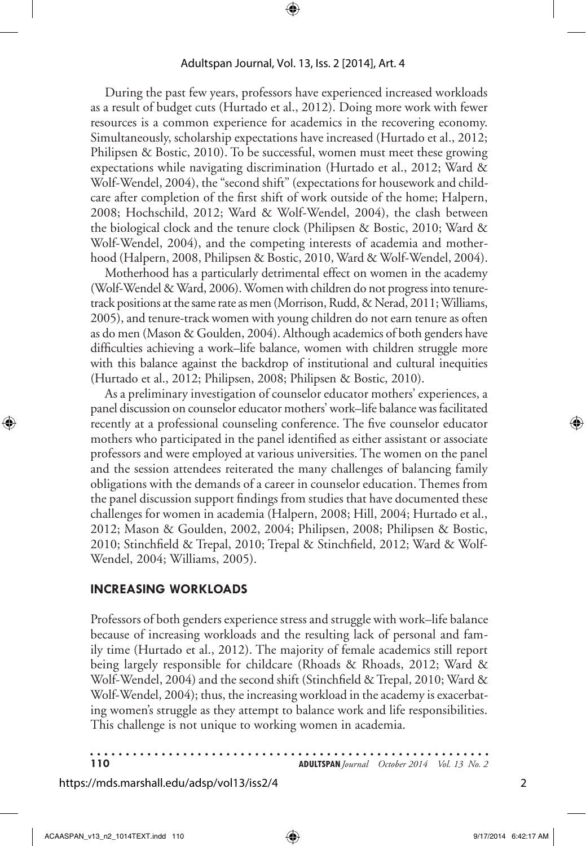During the past few years, professors have experienced increased workloads as a result of budget cuts (Hurtado et al., 2012). Doing more work with fewer resources is a common experience for academics in the recovering economy. Simultaneously, scholarship expectations have increased (Hurtado et al., 2012; Philipsen & Bostic, 2010). To be successful, women must meet these growing expectations while navigating discrimination (Hurtado et al., 2012; Ward & Wolf-Wendel, 2004), the "second shift" (expectations for housework and childcare after completion of the first shift of work outside of the home; Halpern, 2008; Hochschild, 2012; Ward & Wolf-Wendel, 2004), the clash between the biological clock and the tenure clock (Philipsen & Bostic, 2010; Ward & Wolf-Wendel, 2004), and the competing interests of academia and motherhood (Halpern, 2008, Philipsen & Bostic, 2010, Ward & Wolf-Wendel, 2004).

Motherhood has a particularly detrimental effect on women in the academy (Wolf-Wendel & Ward, 2006). Women with children do not progress into tenuretrack positions at the same rate as men (Morrison, Rudd, & Nerad, 2011; Williams, 2005), and tenure-track women with young children do not earn tenure as often as do men (Mason & Goulden, 2004). Although academics of both genders have difficulties achieving a work–life balance, women with children struggle more with this balance against the backdrop of institutional and cultural inequities (Hurtado et al., 2012; Philipsen, 2008; Philipsen & Bostic, 2010).

As a preliminary investigation of counselor educator mothers' experiences, a panel discussion on counselor educator mothers' work–life balance was facilitated recently at a professional counseling conference. The five counselor educator mothers who participated in the panel identified as either assistant or associate professors and were employed at various universities. The women on the panel and the session attendees reiterated the many challenges of balancing family obligations with the demands of a career in counselor education. Themes from the panel discussion support findings from studies that have documented these challenges for women in academia (Halpern, 2008; Hill, 2004; Hurtado et al., 2012; Mason & Goulden, 2002, 2004; Philipsen, 2008; Philipsen & Bostic, 2010; Stinchfield & Trepal, 2010; Trepal & Stinchfield, 2012; Ward & Wolf-Wendel, 2004; Williams, 2005).

## **Increasing Workloads**

Professors of both genders experience stress and struggle with work–life balance because of increasing workloads and the resulting lack of personal and family time (Hurtado et al., 2012). The majority of female academics still report being largely responsible for childcare (Rhoads & Rhoads, 2012; Ward & Wolf-Wendel, 2004) and the second shift (Stinchfield & Trepal, 2010; Ward & Wolf-Wendel, 2004); thus, the increasing workload in the academy is exacerbating women's struggle as they attempt to balance work and life responsibilities. This challenge is not unique to working women in academia.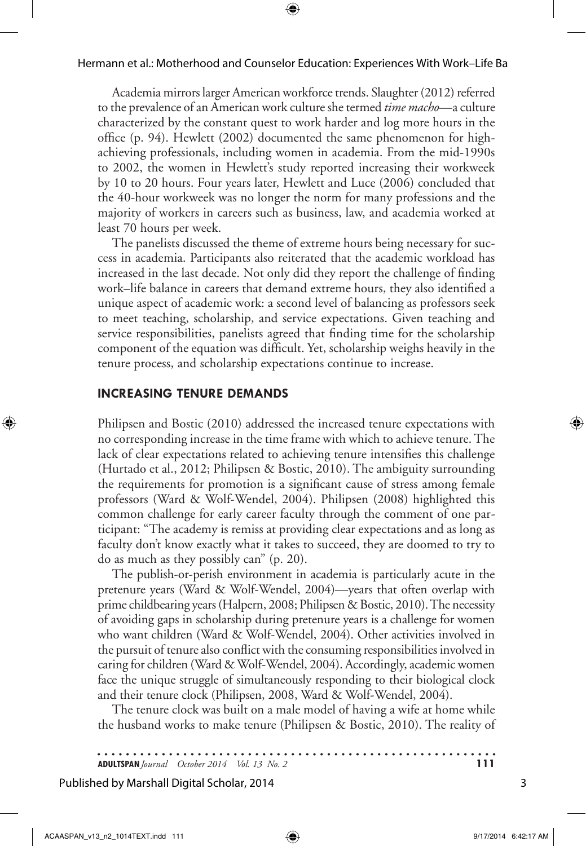Academia mirrors larger American workforce trends. Slaughter (2012) referred to the prevalence of an American work culture she termed *time macho*—a culture characterized by the constant quest to work harder and log more hours in the office (p. 94). Hewlett (2002) documented the same phenomenon for highachieving professionals, including women in academia. From the mid-1990s to 2002, the women in Hewlett's study reported increasing their workweek by 10 to 20 hours. Four years later, Hewlett and Luce (2006) concluded that the 40-hour workweek was no longer the norm for many professions and the majority of workers in careers such as business, law, and academia worked at least 70 hours per week.

The panelists discussed the theme of extreme hours being necessary for success in academia. Participants also reiterated that the academic workload has increased in the last decade. Not only did they report the challenge of finding work–life balance in careers that demand extreme hours, they also identified a unique aspect of academic work: a second level of balancing as professors seek to meet teaching, scholarship, and service expectations. Given teaching and service responsibilities, panelists agreed that finding time for the scholarship component of the equation was difficult. Yet, scholarship weighs heavily in the tenure process, and scholarship expectations continue to increase.

### **Increasing Tenure Demands**

Philipsen and Bostic (2010) addressed the increased tenure expectations with no corresponding increase in the time frame with which to achieve tenure. The lack of clear expectations related to achieving tenure intensifies this challenge (Hurtado et al., 2012; Philipsen & Bostic, 2010). The ambiguity surrounding the requirements for promotion is a significant cause of stress among female professors (Ward & Wolf-Wendel, 2004). Philipsen (2008) highlighted this common challenge for early career faculty through the comment of one participant: "The academy is remiss at providing clear expectations and as long as faculty don't know exactly what it takes to succeed, they are doomed to try to do as much as they possibly can" (p. 20).

The publish-or-perish environment in academia is particularly acute in the pretenure years (Ward & Wolf-Wendel, 2004)—years that often overlap with prime childbearing years (Halpern, 2008; Philipsen & Bostic, 2010). The necessity of avoiding gaps in scholarship during pretenure years is a challenge for women who want children (Ward & Wolf-Wendel, 2004). Other activities involved in the pursuit of tenure also conflict with the consuming responsibilities involved in caring for children (Ward & Wolf-Wendel, 2004). Accordingly, academic women face the unique struggle of simultaneously responding to their biological clock and their tenure clock (Philipsen, 2008, Ward & Wolf-Wendel, 2004).

The tenure clock was built on a male model of having a wife at home while the husband works to make tenure (Philipsen & Bostic, 2010). The reality of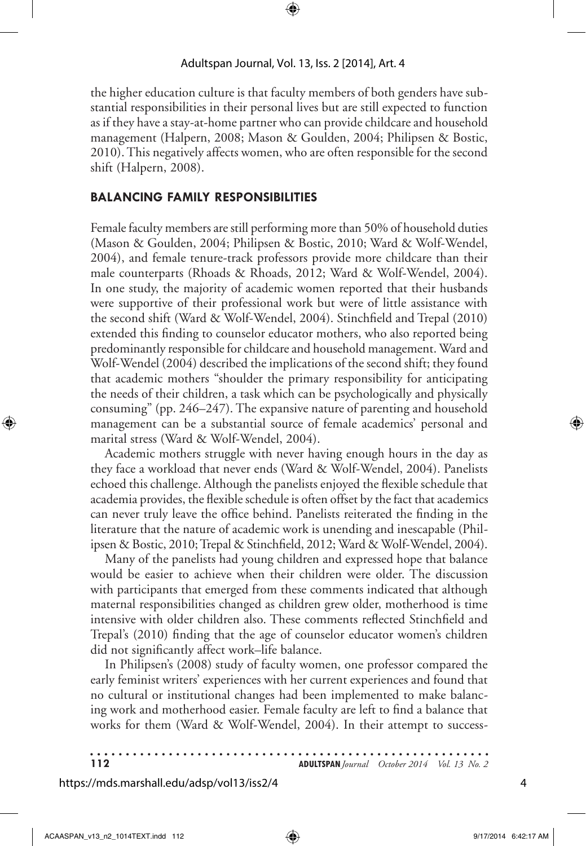the higher education culture is that faculty members of both genders have substantial responsibilities in their personal lives but are still expected to function as if they have a stay-at-home partner who can provide childcare and household management (Halpern, 2008; Mason & Goulden, 2004; Philipsen & Bostic, 2010). This negatively affects women, who are often responsible for the second shift (Halpern, 2008).

### **Balancing Family Responsibilities**

Female faculty members are still performing more than 50% of household duties (Mason & Goulden, 2004; Philipsen & Bostic, 2010; Ward & Wolf-Wendel, 2004), and female tenure-track professors provide more childcare than their male counterparts (Rhoads & Rhoads, 2012; Ward & Wolf-Wendel, 2004). In one study, the majority of academic women reported that their husbands were supportive of their professional work but were of little assistance with the second shift (Ward & Wolf-Wendel, 2004). Stinchfield and Trepal (2010) extended this finding to counselor educator mothers, who also reported being predominantly responsible for childcare and household management. Ward and Wolf-Wendel (2004) described the implications of the second shift; they found that academic mothers "shoulder the primary responsibility for anticipating the needs of their children, a task which can be psychologically and physically consuming" (pp. 246–247). The expansive nature of parenting and household management can be a substantial source of female academics' personal and marital stress (Ward & Wolf-Wendel, 2004).

Academic mothers struggle with never having enough hours in the day as they face a workload that never ends (Ward & Wolf-Wendel, 2004). Panelists echoed this challenge. Although the panelists enjoyed the flexible schedule that academia provides, the flexible schedule is often offset by the fact that academics can never truly leave the office behind. Panelists reiterated the finding in the literature that the nature of academic work is unending and inescapable (Philipsen & Bostic, 2010; Trepal & Stinchfield, 2012; Ward & Wolf-Wendel, 2004).

Many of the panelists had young children and expressed hope that balance would be easier to achieve when their children were older. The discussion with participants that emerged from these comments indicated that although maternal responsibilities changed as children grew older, motherhood is time intensive with older children also. These comments reflected Stinchfield and Trepal's (2010) finding that the age of counselor educator women's children did not significantly affect work–life balance.

In Philipsen's (2008) study of faculty women, one professor compared the early feminist writers' experiences with her current experiences and found that no cultural or institutional changes had been implemented to make balancing work and motherhood easier. Female faculty are left to find a balance that works for them (Ward & Wolf-Wendel, 2004). In their attempt to success-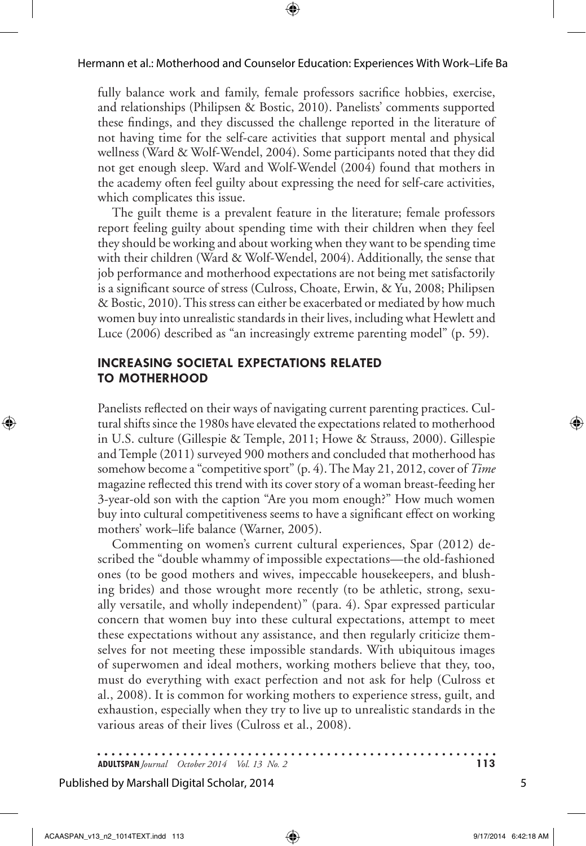#### Hermann et al.: Motherhood and Counselor Education: Experiences With Work–Life Ba

fully balance work and family, female professors sacrifice hobbies, exercise, and relationships (Philipsen & Bostic, 2010). Panelists' comments supported these findings, and they discussed the challenge reported in the literature of not having time for the self-care activities that support mental and physical wellness (Ward & Wolf-Wendel, 2004). Some participants noted that they did not get enough sleep. Ward and Wolf-Wendel (2004) found that mothers in the academy often feel guilty about expressing the need for self-care activities, which complicates this issue.

The guilt theme is a prevalent feature in the literature; female professors report feeling guilty about spending time with their children when they feel they should be working and about working when they want to be spending time with their children (Ward & Wolf-Wendel, 2004). Additionally, the sense that job performance and motherhood expectations are not being met satisfactorily is a significant source of stress (Culross, Choate, Erwin, & Yu, 2008; Philipsen & Bostic, 2010). This stress can either be exacerbated or mediated by how much women buy into unrealistic standards in their lives, including what Hewlett and Luce (2006) described as "an increasingly extreme parenting model" (p. 59).

#### **Increasing Societal Expectations Related to Motherhood**

Panelists reflected on their ways of navigating current parenting practices. Cultural shifts since the 1980s have elevated the expectations related to motherhood in U.S. culture (Gillespie & Temple, 2011; Howe & Strauss, 2000). Gillespie and Temple (2011) surveyed 900 mothers and concluded that motherhood has somehow become a "competitive sport" (p. 4). The May 21, 2012, cover of *Time*  magazine reflected this trend with its cover story of a woman breast-feeding her 3-year-old son with the caption "Are you mom enough?" How much women buy into cultural competitiveness seems to have a significant effect on working mothers' work–life balance (Warner, 2005).

Commenting on women's current cultural experiences, Spar (2012) described the "double whammy of impossible expectations—the old-fashioned ones (to be good mothers and wives, impeccable housekeepers, and blushing brides) and those wrought more recently (to be athletic, strong, sexually versatile, and wholly independent)" (para. 4). Spar expressed particular concern that women buy into these cultural expectations, attempt to meet these expectations without any assistance, and then regularly criticize themselves for not meeting these impossible standards. With ubiquitous images of superwomen and ideal mothers, working mothers believe that they, too, must do everything with exact perfection and not ask for help (Culross et al., 2008). It is common for working mothers to experience stress, guilt, and exhaustion, especially when they try to live up to unrealistic standards in the various areas of their lives (Culross et al., 2008).

**ADULTSPAN***Journal October 2014 Vol. 13 No. 2* **113**

Published by Marshall Digital Scholar, 2014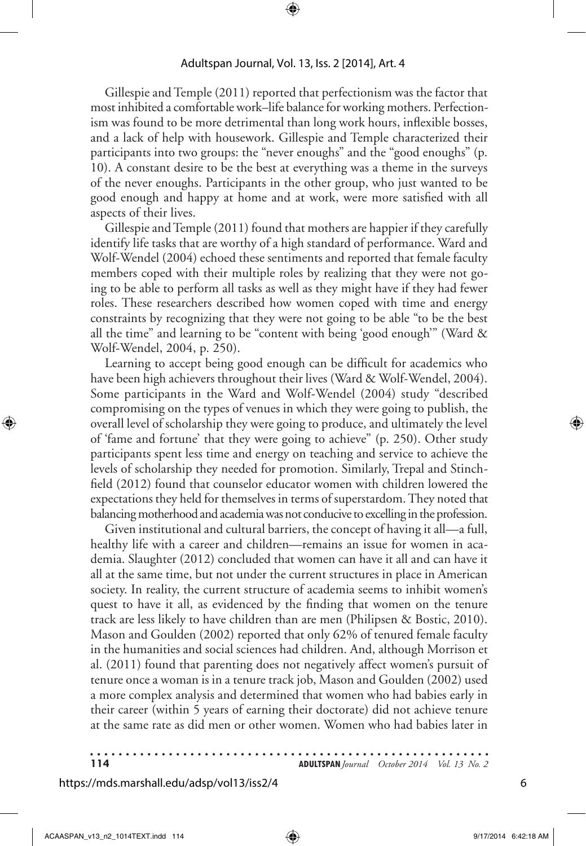Gillespie and Temple (2011) reported that perfectionism was the factor that most inhibited a comfortable work–life balance for working mothers. Perfectionism was found to be more detrimental than long work hours, inflexible bosses, and a lack of help with housework. Gillespie and Temple characterized their participants into two groups: the "never enoughs" and the "good enoughs" (p. 10). A constant desire to be the best at everything was a theme in the surveys of the never enoughs. Participants in the other group, who just wanted to be good enough and happy at home and at work, were more satisfied with all aspects of their lives.

Gillespie and Temple (2011) found that mothers are happier if they carefully identify life tasks that are worthy of a high standard of performance. Ward and Wolf-Wendel (2004) echoed these sentiments and reported that female faculty members coped with their multiple roles by realizing that they were not going to be able to perform all tasks as well as they might have if they had fewer roles. These researchers described how women coped with time and energy constraints by recognizing that they were not going to be able "to be the best all the time" and learning to be "content with being 'good enough'" (Ward & Wolf-Wendel, 2004, p. 250).

Learning to accept being good enough can be difficult for academics who have been high achievers throughout their lives (Ward & Wolf-Wendel, 2004). Some participants in the Ward and Wolf-Wendel (2004) study "described compromising on the types of venues in which they were going to publish, the overall level of scholarship they were going to produce, and ultimately the level of 'fame and fortune' that they were going to achieve" (p. 250). Other study participants spent less time and energy on teaching and service to achieve the levels of scholarship they needed for promotion. Similarly, Trepal and Stinchfield (2012) found that counselor educator women with children lowered the expectations they held for themselves in terms of superstardom. They noted that balancing motherhood and academia was not conducive to excelling in the profession.

Given institutional and cultural barriers, the concept of having it all—a full, healthy life with a career and children—remains an issue for women in academia. Slaughter (2012) concluded that women can have it all and can have it all at the same time, but not under the current structures in place in American society. In reality, the current structure of academia seems to inhibit women's quest to have it all, as evidenced by the finding that women on the tenure track are less likely to have children than are men (Philipsen & Bostic, 2010). Mason and Goulden (2002) reported that only 62% of tenured female faculty in the humanities and social sciences had children. And, although Morrison et al. (2011) found that parenting does not negatively affect women's pursuit of tenure once a woman is in a tenure track job, Mason and Goulden (2002) used a more complex analysis and determined that women who had babies early in their career (within 5 years of earning their doctorate) did not achieve tenure at the same rate as did men or other women. Women who had babies later in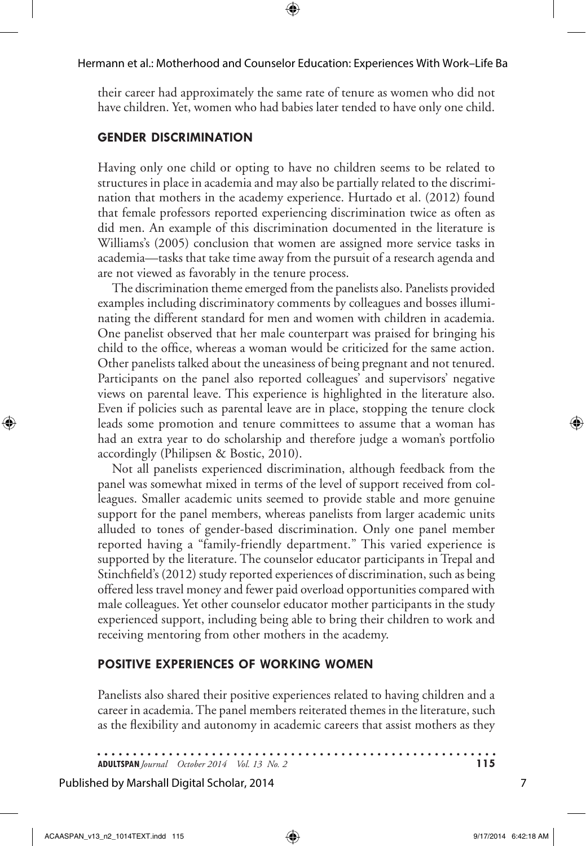#### Hermann et al.: Motherhood and Counselor Education: Experiences With Work–Life Ba

their career had approximately the same rate of tenure as women who did not have children. Yet, women who had babies later tended to have only one child.

#### **Gender Discrimination**

Having only one child or opting to have no children seems to be related to structures in place in academia and may also be partially related to the discrimination that mothers in the academy experience. Hurtado et al. (2012) found that female professors reported experiencing discrimination twice as often as did men. An example of this discrimination documented in the literature is Williams's (2005) conclusion that women are assigned more service tasks in academia—tasks that take time away from the pursuit of a research agenda and are not viewed as favorably in the tenure process.

The discrimination theme emerged from the panelists also. Panelists provided examples including discriminatory comments by colleagues and bosses illuminating the different standard for men and women with children in academia. One panelist observed that her male counterpart was praised for bringing his child to the office, whereas a woman would be criticized for the same action. Other panelists talked about the uneasiness of being pregnant and not tenured. Participants on the panel also reported colleagues' and supervisors' negative views on parental leave. This experience is highlighted in the literature also. Even if policies such as parental leave are in place, stopping the tenure clock leads some promotion and tenure committees to assume that a woman has had an extra year to do scholarship and therefore judge a woman's portfolio accordingly (Philipsen & Bostic, 2010).

Not all panelists experienced discrimination, although feedback from the panel was somewhat mixed in terms of the level of support received from colleagues. Smaller academic units seemed to provide stable and more genuine support for the panel members, whereas panelists from larger academic units alluded to tones of gender-based discrimination. Only one panel member reported having a "family-friendly department." This varied experience is supported by the literature. The counselor educator participants in Trepal and Stinchfield's (2012) study reported experiences of discrimination, such as being offered less travel money and fewer paid overload opportunities compared with male colleagues. Yet other counselor educator mother participants in the study experienced support, including being able to bring their children to work and receiving mentoring from other mothers in the academy.

#### **Positive Experiences of Working Women**

Panelists also shared their positive experiences related to having children and a career in academia. The panel members reiterated themes in the literature, such as the flexibility and autonomy in academic careers that assist mothers as they

**ADULTSPAN***Journal October 2014 Vol. 13 No. 2* **115**

Published by Marshall Digital Scholar, 2014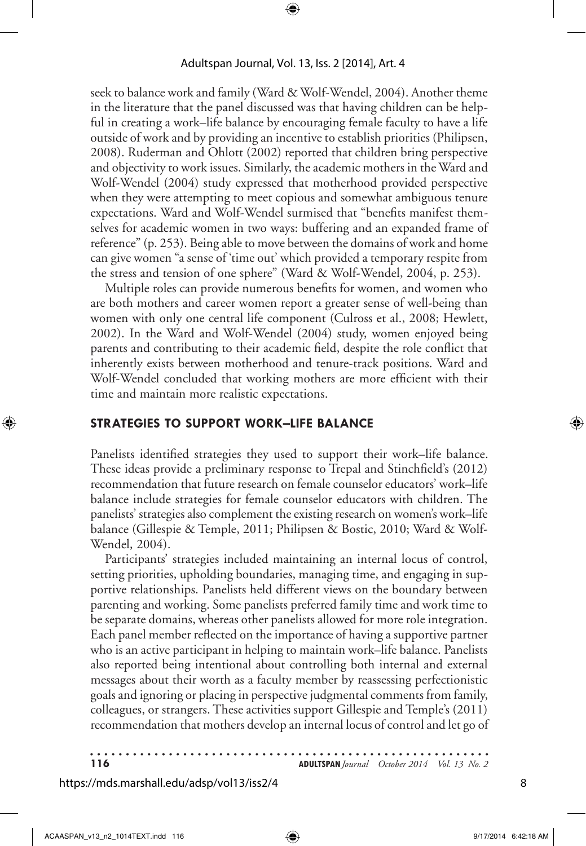seek to balance work and family (Ward & Wolf-Wendel, 2004). Another theme in the literature that the panel discussed was that having children can be helpful in creating a work–life balance by encouraging female faculty to have a life outside of work and by providing an incentive to establish priorities (Philipsen, 2008). Ruderman and Ohlott (2002) reported that children bring perspective and objectivity to work issues. Similarly, the academic mothers in the Ward and Wolf-Wendel (2004) study expressed that motherhood provided perspective when they were attempting to meet copious and somewhat ambiguous tenure expectations. Ward and Wolf-Wendel surmised that "benefits manifest themselves for academic women in two ways: buffering and an expanded frame of reference" (p. 253). Being able to move between the domains of work and home can give women "a sense of 'time out' which provided a temporary respite from the stress and tension of one sphere" (Ward & Wolf-Wendel, 2004, p. 253).

Multiple roles can provide numerous benefits for women, and women who are both mothers and career women report a greater sense of well-being than women with only one central life component (Culross et al., 2008; Hewlett, 2002). In the Ward and Wolf-Wendel (2004) study, women enjoyed being parents and contributing to their academic field, despite the role conflict that inherently exists between motherhood and tenure-track positions. Ward and Wolf-Wendel concluded that working mothers are more efficient with their time and maintain more realistic expectations.

# **Strategies to Support Work–Life Balance**

Panelists identified strategies they used to support their work–life balance. These ideas provide a preliminary response to Trepal and Stinchfield's (2012) recommendation that future research on female counselor educators' work–life balance include strategies for female counselor educators with children. The panelists' strategies also complement the existing research on women's work–life balance (Gillespie & Temple, 2011; Philipsen & Bostic, 2010; Ward & Wolf-Wendel, 2004).

Participants' strategies included maintaining an internal locus of control, setting priorities, upholding boundaries, managing time, and engaging in supportive relationships. Panelists held different views on the boundary between parenting and working. Some panelists preferred family time and work time to be separate domains, whereas other panelists allowed for more role integration. Each panel member reflected on the importance of having a supportive partner who is an active participant in helping to maintain work–life balance. Panelists also reported being intentional about controlling both internal and external messages about their worth as a faculty member by reassessing perfectionistic goals and ignoring or placing in perspective judgmental comments from family, colleagues, or strangers. These activities support Gillespie and Temple's (2011) recommendation that mothers develop an internal locus of control and let go of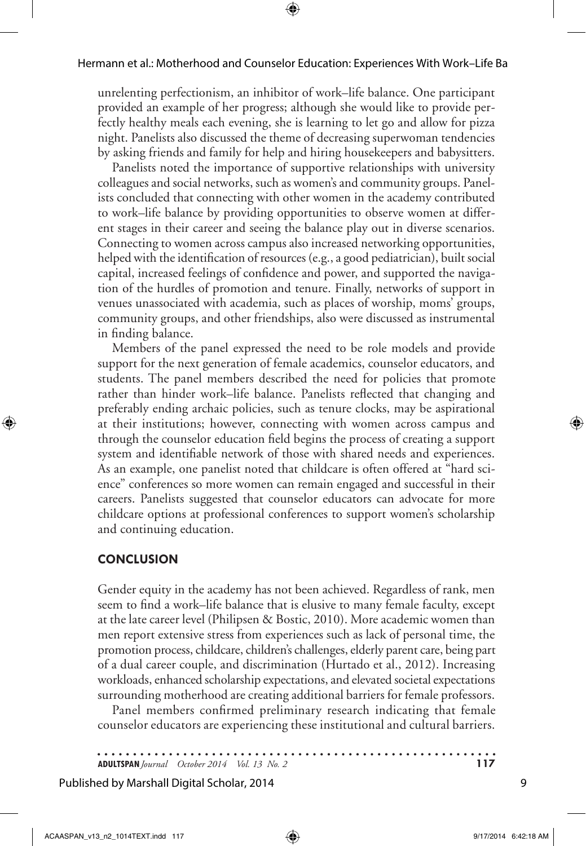unrelenting perfectionism, an inhibitor of work–life balance. One participant provided an example of her progress; although she would like to provide perfectly healthy meals each evening, she is learning to let go and allow for pizza night. Panelists also discussed the theme of decreasing superwoman tendencies by asking friends and family for help and hiring housekeepers and babysitters.

Panelists noted the importance of supportive relationships with university colleagues and social networks, such as women's and community groups. Panelists concluded that connecting with other women in the academy contributed to work–life balance by providing opportunities to observe women at different stages in their career and seeing the balance play out in diverse scenarios. Connecting to women across campus also increased networking opportunities, helped with the identification of resources (e.g., a good pediatrician), built social capital, increased feelings of confidence and power, and supported the navigation of the hurdles of promotion and tenure. Finally, networks of support in venues unassociated with academia, such as places of worship, moms' groups, community groups, and other friendships, also were discussed as instrumental in finding balance.

Members of the panel expressed the need to be role models and provide support for the next generation of female academics, counselor educators, and students. The panel members described the need for policies that promote rather than hinder work–life balance. Panelists reflected that changing and preferably ending archaic policies, such as tenure clocks, may be aspirational at their institutions; however, connecting with women across campus and through the counselor education field begins the process of creating a support system and identifiable network of those with shared needs and experiences. As an example, one panelist noted that childcare is often offered at "hard science" conferences so more women can remain engaged and successful in their careers. Panelists suggested that counselor educators can advocate for more childcare options at professional conferences to support women's scholarship and continuing education.

# **Conclusion**

Gender equity in the academy has not been achieved. Regardless of rank, men seem to find a work–life balance that is elusive to many female faculty, except at the late career level (Philipsen & Bostic, 2010). More academic women than men report extensive stress from experiences such as lack of personal time, the promotion process, childcare, children's challenges, elderly parent care, being part of a dual career couple, and discrimination (Hurtado et al., 2012). Increasing workloads, enhanced scholarship expectations, and elevated societal expectations surrounding motherhood are creating additional barriers for female professors.

Panel members confirmed preliminary research indicating that female counselor educators are experiencing these institutional and cultural barriers.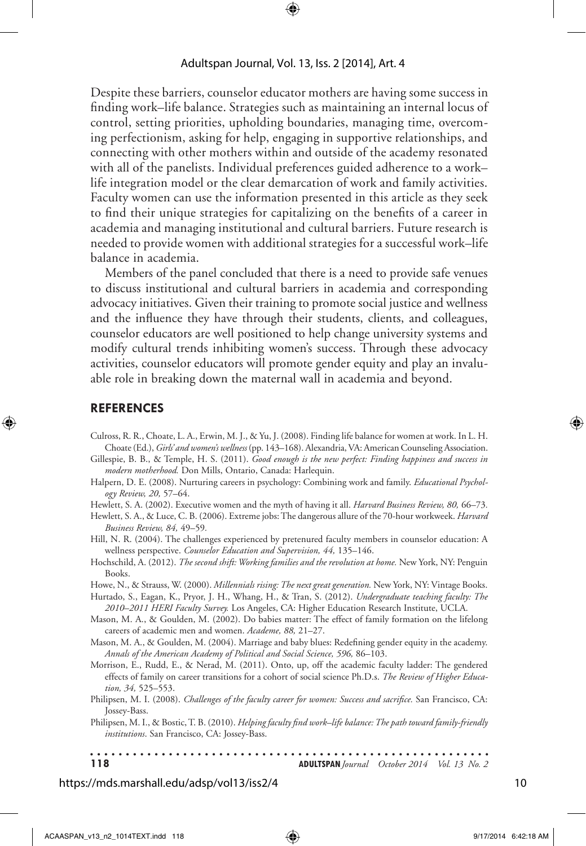Despite these barriers, counselor educator mothers are having some success in finding work–life balance. Strategies such as maintaining an internal locus of control, setting priorities, upholding boundaries, managing time, overcoming perfectionism, asking for help, engaging in supportive relationships, and connecting with other mothers within and outside of the academy resonated with all of the panelists. Individual preferences guided adherence to a work– life integration model or the clear demarcation of work and family activities. Faculty women can use the information presented in this article as they seek to find their unique strategies for capitalizing on the benefits of a career in academia and managing institutional and cultural barriers. Future research is needed to provide women with additional strategies for a successful work–life balance in academia.

Members of the panel concluded that there is a need to provide safe venues to discuss institutional and cultural barriers in academia and corresponding advocacy initiatives. Given their training to promote social justice and wellness and the influence they have through their students, clients, and colleagues, counselor educators are well positioned to help change university systems and modify cultural trends inhibiting women's success. Through these advocacy activities, counselor educators will promote gender equity and play an invaluable role in breaking down the maternal wall in academia and beyond.

#### **References**

- Culross, R. R., Choate, L. A., Erwin, M. J., & Yu, J. (2008). Finding life balance for women at work. In L. H. Choate (Ed.), *Girls' and women's wellness* (pp. 143–168). Alexandria, VA: American Counseling Association.
- Gillespie, B. B., & Temple, H. S. (2011). *Good enough is the new perfect: Finding happiness and success in modern motherhood.* Don Mills, Ontario, Canada: Harlequin.
- Halpern, D. E. (2008). Nurturing careers in psychology: Combining work and family. *Educational Psychology Review, 20,* 57–64.
- Hewlett, S. A. (2002). Executive women and the myth of having it all. *Harvard Business Review, 80,* 66–73*.*
- Hewlett, S. A., & Luce, C. B. (2006). Extreme jobs: The dangerous allure of the 70-hour workweek. *Harvard Business Review, 84,* 49–59*.*
- Hill, N. R. (2004). The challenges experienced by pretenured faculty members in counselor education: A wellness perspective. *Counselor Education and Supervision, 44,* 135–146.
- Hochschild, A. (2012). *The second shift: Working families and the revolution at home.* New York, NY: Penguin Books.

Howe, N., & Strauss, W. (2000). *Millennials rising: The next great generation.* New York, NY: Vintage Books.

- Hurtado, S., Eagan, K., Pryor, J. H., Whang, H., & Tran, S. (2012). *Undergraduate teaching faculty: The 2010–2011 HERI Faculty Survey.* Los Angeles, CA: Higher Education Research Institute, UCLA.
- Mason, M. A., & Goulden, M. (2002). Do babies matter: The effect of family formation on the lifelong careers of academic men and women. *Academe, 88,* 21–27.
- Mason, M. A., & Goulden, M. (2004). Marriage and baby blues: Redefining gender equity in the academy. *Annals of the American Academy of Political and Social Science, 596,* 86–103.
- Morrison, E., Rudd, E., & Nerad, M. (2011). Onto, up, off the academic faculty ladder: The gendered effects of family on career transitions for a cohort of social science Ph.D.s. *The Review of Higher Education, 34,* 525–553.
- Philipsen, M. I. (2008). *Challenges of the faculty career for women: Success and sacrifice.* San Francisco, CA: Jossey-Bass.
- Philipsen, M. I., & Bostic, T. B. (2010). *Helping faculty find work–life balance: The path toward family-friendly institutions*. San Francisco, CA: Jossey-Bass.

. . . . . . . . . . . . . . . . . . . . . . . . . . . . . . . **118 ADULTSPAN***Journal October 2014 Vol. 13 No. 2*